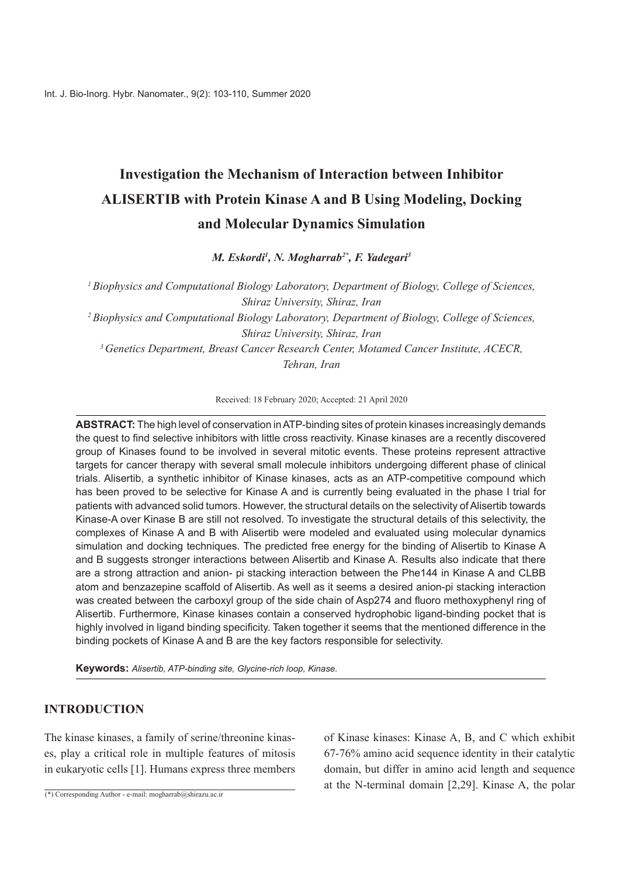# **Investigation the Mechanism of Interaction between Inhibitor ALISERTIB** with Protein Kinase A and B Using Modeling, Docking **and Molecular Dynamics Simulation**

*M. Eskordi<sup>1</sup>, N. Mogharrab<sup>2\*</sup>, F. Yadegari<sup>3</sup>* 

<sup>*I*</sup> Biophysics and Computational Biology Laboratory, Department of Biology, College of Sciences, *Shiraz University, Shiraz, Iran* <sup>2</sup> Biophysics and Computational Biology Laboratory, Department of Biology, College of Sciences, *Shiraz University, Shiraz, Iran* <sup>3</sup> Genetics Department, Breast Cancer Research Center, Motamed Cancer Institute, ACECR, *Tehran, Iran* 

Received: 18 February 2020; Accepted: 21 April 2020

ABSTRACT: The high level of conservation in ATP-binding sites of protein kinases increasingly demands the quest to find selective inhibitors with little cross reactivity. Kinase kinases are a recently discovered group of Kinases found to be involved in several mitotic events. These proteins represent attractive targets for cancer therapy with several small molecule inhibitors undergoing different phase of clinical trials. Alisertib, a synthetic inhibitor of Kinase kinases, acts as an ATP-competitive compound which has been proved to be selective for Kinase A and is currently being evaluated in the phase I trial for patients with advanced solid tumors. However, the structural details on the selectivity of Alisertib towards Kinase-A over Kinase B are still not resolved. To investigate the structural details of this selectivity, the complexes of Kinase A and B with Alisertib were modeled and evaluated using molecular dynamics simulation and docking techniques. The predicted free energy for the binding of Alisertib to Kinase A and B suggests stronger interactions between Alisertib and Kinase A. Results also indicate that there are a strong attraction and anion- pi stacking interaction between the Phe 144 in Kinase A and CLBB atom and benzazepine scaffold of Alisertib. As well as it seems a desired anion-pi stacking interaction was created between the carboxyl group of the side chain of Asp 274 and fluoro methoxyphenyl ring of Alisertib. Furthermore, Kinase kinases contain a conserved hydrophobic ligand-binding pocket that is highly involved in ligand binding specificity. Taken together it seems that the mentioned difference in the binding pockets of Kinase A and B are the key factors responsible for selectivity.

**Keywords:** Alisertib, ATP-binding site, Glycine-rich loop, Kinase.

# **INTRODUCTION**

es, play a critical role in multiple features of mitosis The kinase kinases, a family of serine/threonine kinasin eukaryotic cells  $[1]$ . Humans express three members

 $\overline{(*)}$  Corresponding Author - e-mail: mogharrab@shirazu.ac.ir

of Kinase kinases: Kinase  $A$ ,  $B$ , and  $C$  which exhibit  $67-76\%$  amino acid sequence identity in their catalytic domain, but differ in amino acid length and sequence at the N-terminal domain  $[2,29]$ . Kinase A, the polar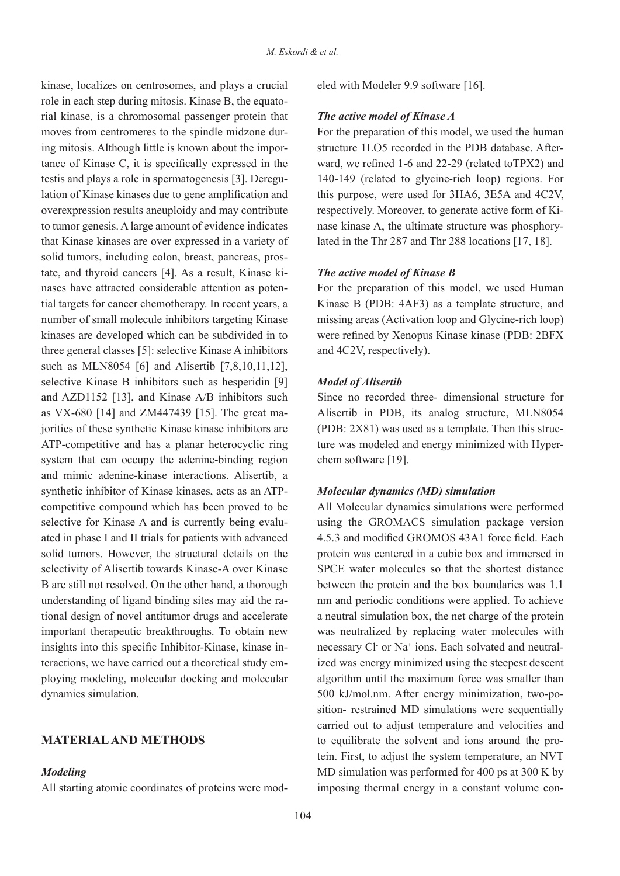kinase, localizes on centrosomes, and plays a crucial rial kinase, is a chromosomal passenger protein that role in each step during mitosis. Kinase B, the equatotance of Kinase C, it is specifically expressed in the ing mitosis. Although little is known about the impormoves from centromeres to the spindle midzone durlation of Kinase kinases due to gene amplification and testis and plays a role in spermatogenesis [3]. Dereguoverexpression results aneuploidy and may contribute to tumor genesis. A large amount of evidence indicates that Kinase kinases are over expressed in a variety of tial targets for cancer chemotherapy. In recent years, a nases have attracted considerable attention as potentate, and thyroid cancers [4]. As a result, Kinase kisolid tumors, including colon, breast, pancreas, prosnumber of small molecule inhibitors targeting Kinase kinases are developed which can be subdivided in to three general classes [5]; selective Kinase A inhibitors such as MLN8054 [6] and Alisertib  $[7,8,10,11,12]$ , selective Kinase B inhibitors such as hesperidin [9] and  $AZD1152$  [13], and Kinase  $A/B$  inhibitors such jorities of these synthetic Kinase kinase inhibitors are as VX-680  $[14]$  and ZM447439  $[15]$ . The great ma-ATP-competitive and has a planar heterocyclic ring system that can occupy the adenine-binding region and mimic adenine-kinase interactions. Alisertib. a competitive compound which has been proved to be synthetic inhibitor of Kinase kinases, acts as an ATPated in phase I and II trials for patients with advanced selective for Kinase A and is currently being evalusolid tumors. However, the structural details on the selectivity of Alisertib towards Kinase-A over Kinase B are still not resolved. On the other hand, a thorough tional design of novel antitumor drugs and accelerate understanding of ligand binding sites may aid the raimportant therapeutic breakthroughs. To obtain new ploving modeling, molecular docking and molecular teractions, we have carried out a theoretical study eminsights into this specific Inhibitor-Kinase, kinase indynamics simulation.

#### **MATERIAL AND METHODS**

#### *Modeling*

All starting atomic coordinates of proteins were mod-

## **The active model of Kinase A**

For the preparation of this model, we used the human ward, we refined 1-6 and  $22-29$  (related to TPX2) and structure 1LO5 recorded in the PDB database. After- $140-149$  (related to glycine-rich loop) regions. For this purpose, were used for 3HA6, 3E5A and 4C2V, lated in the Thr  $287$  and Thr  $288$  locations [17, 18]. nase kinase A, the ultimate structure was phosphoryrespectively. Moreover, to generate active form of Ki-

#### **The active model of Kinase B**

For the preparation of this model, we used Human Kinase B (PDB:  $4AF3$ ) as a template structure, and missing areas (Activation loop and Glycine-rich loop) were refined by Xenopus Kinase kinase (PDB: 2BFX and  $4C2V$ , respectively).

#### *Alisertib of Model*

Since no recorded three- dimensional structure for Alisertib in PDB, its analog structure, MLN8054 ture was modeled and energy minimized with Hyper-<br>chem software [19]. (PDB:  $2X81$ ) was used as a template. Then this structure was modeled and energy minimized with Hyper- $(PDB: 2X81)$  was used as a template. Then this struc-

#### *Molecular dynamics (MD) simulation*

increase and Modeler 9.9 software [16].<br>
The active model of Kinase A<br>
For the preparation of this model, we structure ILOS recorded in the PDE<br>
ward, we refined 1-6 and 22-29 (relies<br>
4.140.149 (related to glycine-rich lo All Molecular dynamics simulations were performed using the GROMACS simulation package version 4.5.3 and modified GROMOS 43A1 force field. Each protein was centered in a cubic box and immersed in SPCE water molecules so that the shortest distance between the protein and the box boundaries was 1.1 nm and periodic conditions were applied. To achieve a neutral simulation box, the net charge of the protein was neutralized by replacing water molecules with necessary Cl or Na<sup>+</sup> ions. Each solvated and neutral ized was energy minimized using the steepest descent algorithm until the maximum force was smaller than sition- restrained MD simulations were sequentially 500 kJ/mol.nm. After energy minimization, two-pocarried out to adjust temperature and velocities and tein. First, to adjust the system temperature, an NVT to equilibrate the solvent and ions around the pro- $MD$  simulation was performed for 400 ps at 300 K by imposing thermal energy in a constant volume con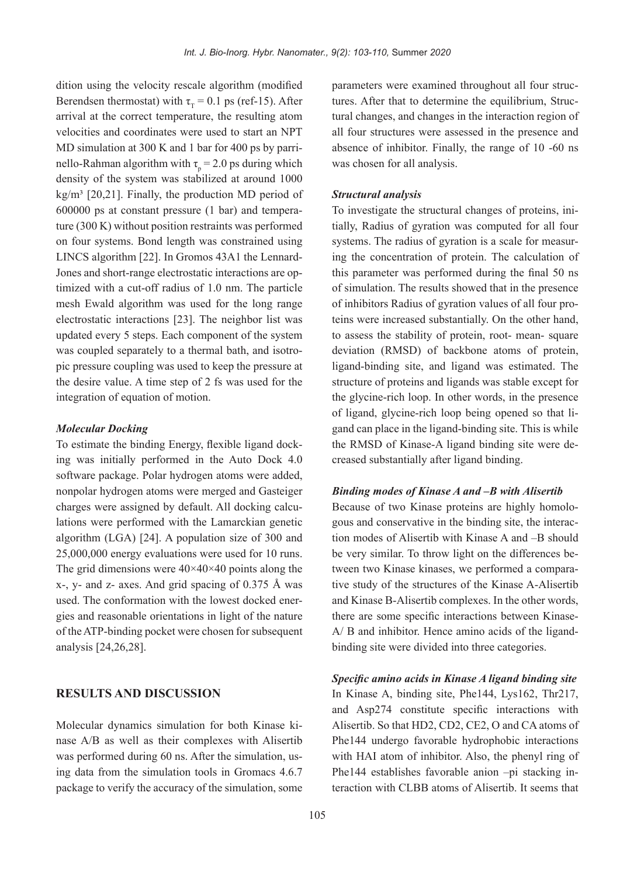dition using the velocity rescale algorithm (modified Berendsen thermostat) with  $\tau_r = 0.1$  ps (ref-15). After arrival at the correct temperature, the resulting atom velocities and coordinates were used to start an NPT MD simulation at 300 K and 1 bar for 400 ps by parrinello-Rahman algorithm with  $\tau_p = 2.0$  ps during which MD simulation at 300 K and 1 bar for 400 ps by parridensity of the system was stabilized at around 1000 kg/m<sup>3</sup> [20,21]. Finally, the production MD period of ture  $(300 \text{ K})$  without position restraints was performed  $600000$  ps at constant pressure  $(1 \text{ bar})$  and temperaon four systems. Bond length was constrained using timized with a cut-off radius of  $1.0$  nm. The particle Jones and short-range electrostatic interactions are op-LINCS algorithm  $[22]$ . In Gromos 43A1 the Lennardmesh Ewald algorithm was used for the long range electrostatic interactions  $[23]$ . The neighbor list was updated every 5 steps. Each component of the system pic pressure coupling was used to keep the pressure at was coupled separately to a thermal bath, and isotrothe desire value. A time step of  $2$  fs was used for the integration of equation of motion.

#### *Molecular Docking*

ing was initially performed in the Auto Dock  $4.0$ To estimate the binding Energy, flexible ligand docksoftware package. Polar hydrogen atoms were added. nonpolar hydrogen atoms were merged and Gasteiger lations were performed with the Lamarckian genetic charges were assigned by default. All docking calcualgorithm  $(LGA)$  [24]. A population size of 300 and  $25,000,000$  energy evaluations were used for 10 runs. The grid dimensions were  $40\times40\times40$  points along the  $x-$ ,  $y-$  and  $z-$  axes. And grid spacing of 0.375 Å was gies and reasonable orientations in light of the nature used. The conformation with the lowest docked enerof the ATP-binding pocket were chosen for subsequent analysis [24,26,28].

## **RESULTS AND DISCUSSION**

nase A/B as well as their complexes with Alisertib Molecular dynamics simulation for both Kinase kiwas performed during 60 ns. After the simulation, using data from the simulation tools in Gromacs 4.6.7 package to verify the accuracy of the simulation, some

tural changes, and changes in the interaction region of tures. After that to determine the equilibrium, Strucparameters were examined throughout all four strucall four structures were assessed in the presence and absence of inhibitor. Finally, the range of  $10 - 60$  ns was chosen for all analysis.

#### *Structural* analysis

tially, Radius of gyration was computed for all four To investigate the structural changes of proteins, iniing the concentration of protein. The calculation of systems. The radius of gyration is a scale for measurthis parameter was performed during the final 50 ns of simulation. The results showed that in the presence teins were increased substantially. On the other hand, of inhibitors Radius of gyration values of all four proto assess the stability of protein, root- mean-square deviation (RMSD) of backbone atoms of protein. ligand-binding site, and ligand was estimated. The structure of proteins and ligands was stable except for the glycine-rich loop. In other words, in the presence gand can place in the ligand-binding site. This is while of ligand, glycine-rich loop being opened so that lithe RMSD of Kinase-A ligand binding site were decreased substantially after ligand binding.

#### *Binding modes of Kinase A and -B with Alisertib*

tion modes of Alisertib with Kinase A and  $-B$  should gous and conservative in the binding site, the interac-Because of two Kinase proteins are highly homolotive study of the structures of the Kinase A-Alisertib tween two Kinase kinases, we performed a comparabe very similar. To throw light on the differences beand Kinase B-Alisertib complexes. In the other words,  $A$  B and inhibitor. Hence amino acids of the ligand-<br>binding site were divided into three categories. there are some specific interactions between Kinase-<br>A/B and inhibitor. Hence amino acids of the ligandthere are some specific interactions between Kinase-

*Specific amino acids in Kinase A ligand binding site* In Kinase A, binding site, Phe  $144$ , Lys  $162$ , Thr $217$ , and Asp274 constitute specific interactions with Alisertib. So that HD2, CD2, CE2, O and CA atoms of Phe144 undergo favorable hydrophobic interactions with HAI atom of inhibitor. Also, the phenyl ring of teraction with CLBB atoms of Alisertib. It seems that Phe  $144$  establishes favorable anion  $-pi$  stacking in-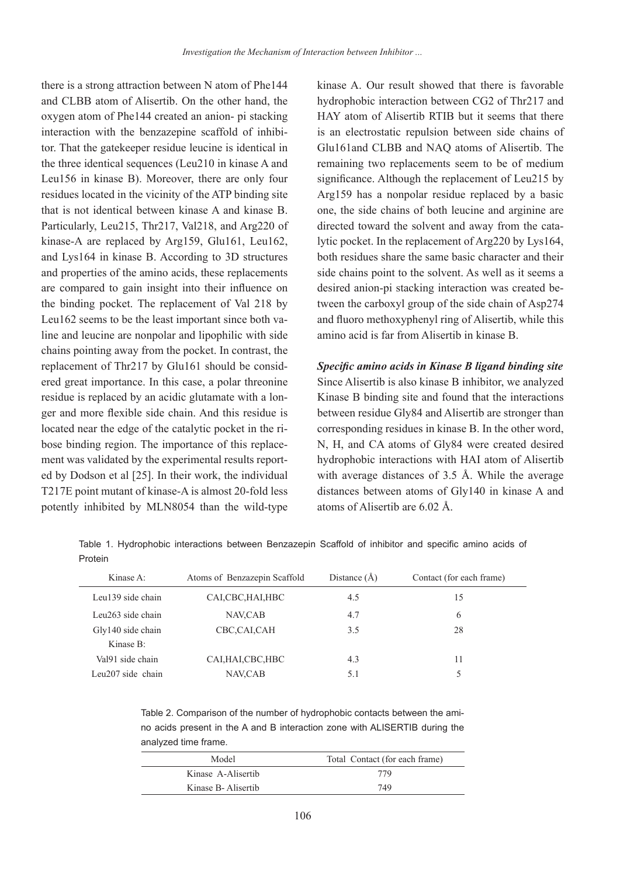there is a strong attraction between N atom of Phe144 and CLBB atom of Alisertib. On the other hand, the oxygen atom of Phe 144 created an anion- pi stacking tor. That the gatekeeper residue leucine is identical in interaction with the benzazepine scaffold of inhibithe three identical sequences (Leu210 in kinase  $A$  and Leu156 in kinase B). Moreover, there are only four residues located in the vicinity of the ATP binding site that is not identical between kinase A and kinase B. Particularly, Leu215, Thr 217, Val 218, and Arg 220 of kinase-A are replaced by Arg159, Glu161, Leu162, and Lys164 in kinase B. According to 3D structures and properties of the amino acids, these replacements are compared to gain insight into their influence on the binding pocket. The replacement of Val 218 by line and leucine are nonpolar and lipophilic with side Leu162 seems to be the least important since both vachains pointing away from the pocket. In contrast, the ered great importance. In this case, a polar threonine replacement of Thr217 by  $Glu161$  should be considger and more flexible side chain. And this residue is residue is replaced by an acidic glutamate with a loned by Dodson et al [25]. In their work, the individual ment was validated by the experimental results reportbose binding region. The importance of this replacelocated near the edge of the catalytic pocket in the ri-T217E point mutant of kinase-A is almost 20-fold less potently inhibited by MLN8054 than the wild-type kinase A. Our result showed that there is favorable hydrophobic interaction between CG2 of Thr217 and HAY atom of Alisertib RTIB but it seems that there is an electrostatic repulsion between side chains of Glu161 and CLBB and NAQ atoms of Alisertib. The remaining two replacements seem to be of medium significance. Although the replacement of Leu215 by Arg $159$  has a nonpolar residue replaced by a basic one, the side chains of both leucine and arginine are lytic pocket. In the replacement of  $Arg220$  by Lys164, directed toward the solvent and away from the cataboth residues share the same basic character and their side chains point to the solvent. As well as it seems a tween the carboxyl group of the side chain of Asp274 desired anion-pi stacking interaction was created beand fluoro methoxyphenyl ring of Alisertib, while this amino acid is far from Alisertib in kinase B.

*Specific amino acids in Kinase B ligand binding site* Since Alisertib is also kinase B inhibitor, we analyzed Kinase B binding site and found that the interactions between residue Gly84 and Alisertib are stronger than corresponding residues in kinase B. In the other word, N. H. and CA atoms of Gly84 were created desired hydrophobic interactions with HAI atom of Alisertib with average distances of  $3.5$  Å. While the average distances between atoms of Gly140 in kinase A and atoms of Alisertib are  $6.02 \text{ Å}$ .

Table 1. Hydrophobic interactions between Benzazepin Scaffold of inhibitor and specific amino acids of Protein

| Kinase A:         | Atoms of Benzazepin Scaffold | Distance $(A)$ | Contact (for each frame) |
|-------------------|------------------------------|----------------|--------------------------|
| Leu139 side chain | CALCBC, HALHBC               | 4.5            | 15                       |
| Leu263 side chain | NAV, CAB                     | 4.7            | 6                        |
| Gly140 side chain | CBC,CAI,CAH                  | 3.5            | 28                       |
| Kinase B:         |                              |                |                          |
| Val91 side chain  | CALHALCBC, HBC               | 4.3            | 11                       |
| Leu207 side chain | NAV, CAB                     | 5.1            |                          |

no acids present in the A and B interaction zone with ALISERTIB during the Table 2. Comparison of the number of hydrophobic contacts between the amianalyzed time frame.

| Model               | Total Contact (for each frame) |
|---------------------|--------------------------------|
| Kinase A-Alisertib  | 779                            |
| Kinase B- Alisertib | 749                            |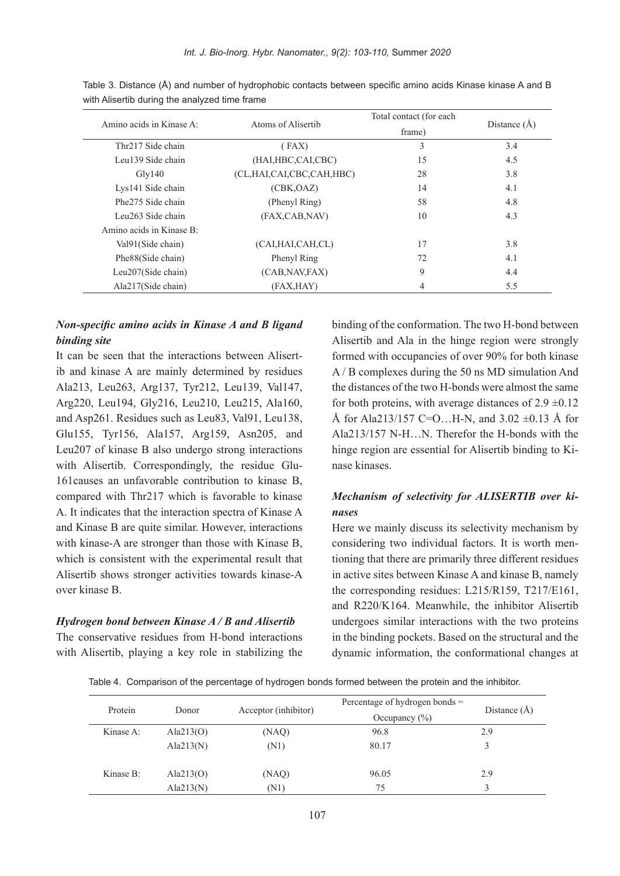| Amino acids in Kinase A: |                               | Total contact (for each) |                |
|--------------------------|-------------------------------|--------------------------|----------------|
|                          | Atoms of Alisertib            | frame)                   | Distance $(A)$ |
| Thr217 Side chain        | (FAX)                         | 3                        | 3.4            |
| Leu139 Side chain        | (HAI, HBC, CAI, CBC)          | 15                       | 4.5            |
| Gly140                   | (CL, HAI, CAI, CBC, CAH, HBC) | 28                       | 3.8            |
| Lys141 Side chain        | (CBK, OAZ)                    | 14                       | 4.1            |
| Phe275 Side chain        | (Phenyl Ring)                 | 58                       | 4.8            |
| Leu263 Side chain        | (FAX,CAB,NAV)                 | 10                       | 4.3            |
| Amino acids in Kinase B: |                               |                          |                |
| Val91(Side chain)        | (CAI, HAI, CAH, CL)           | 17                       | 3.8            |
| Phe88(Side chain)        | Phenyl Ring                   | 72                       | 4.1            |
| Leu $207$ (Side chain)   | (CAB, NAV, FAX)               | 9                        | 4.4            |
| Ala217(Side chain)       | (FAX, HAY)                    | 4                        | 5.5            |

Table 3. Distance (Å) and number of hydrophobic contacts between specific amino acids Kinase kinase A and B with Alisertib during the analyzed time frame

# *Non-specific amino acids in Kinase A and B ligand* **binding** site

ib and kinase A are mainly determined by residues It can be seen that the interactions between Alisert-Ala213, Leu 263, Arg 137, Tyr 212, Leu 139, Val 147, Arg220, Leu194, Gly216, Leu210, Leu215, Ala160, and Asp261. Residues such as Leu 83, Val91, Leu 138, Glu155, Tyr156, Ala157, Arg159, Asn205, and Leu207 of kinase  $B$  also undergo strong interactions with Alisertib. Correspondingly, the residue Glu-<br>161 causes an unfavorable contribution to kinase B, compared with Thr217 which is favorable to kinase A. It indicates that the interaction spectra of Kinase A and Kinase B are quite similar. However, interactions with kinase-A are stronger than those with Kinase  $B$ . which is consistent with the experimental result that Alisertib shows stronger activities towards kinase-A over kinase B

#### *Hydrogen bond between Kinase A/B and Alisertib*

The conservative residues from H-bond interactions with Alisertib, playing a key role in stabilizing the

binding of the conformation. The two H-bond between Alisertib and Ala in the hinge region were strongly formed with occupancies of over 90% for both kinase  $A/B$  complexes during the 50 ns MD simulation And the distances of the two H-bonds were almost the same for both proteins, with average distances of  $2.9 \pm 0.12$ Å for Ala213/157 C=O...H-N, and  $3.02 \pm 0.13$  Å for Ala213/157 N-H $\dots$ N. Therefor the H-bonds with the hinge region are essential for Alisertib binding to Kinase kinases.

# Mechanism of selectivity for ALISERTIB over ki-<br>nases

Here we mainly discuss its selectivity mechanism by tioning that there are primarily three different residues considering two individual factors. It is worth menin active sites between Kinase A and kinase B, namely the corresponding residues:  $L215/R159$ , T217/E161, and R220/K164. Meanwhile, the inhibitor Alisertib undergoes similar interactions with the two proteins in the binding pockets. Based on the structural and the dynamic information, the conformational changes at

Table 4. Comparison of the percentage of hydrogen bonds formed between the protein and the inhibitor.

| Protein   | Donor        | Acceptor (inhibitor) | Percentage of hydrogen bonds $=$<br>Occupancy $(\% )$ | Distance $(A)$ |
|-----------|--------------|----------------------|-------------------------------------------------------|----------------|
| Kinase A: | Ala $213(0)$ | (NAQ)                | 96.8                                                  | 2.9            |
|           | Ala $213(N)$ | (N1)                 | 80.17                                                 |                |
| Kinase B: | Ala $213(0)$ | (NAQ)                | 96.05                                                 | 2.9            |
|           | Ala $213(N)$ | (N1)                 | 75                                                    |                |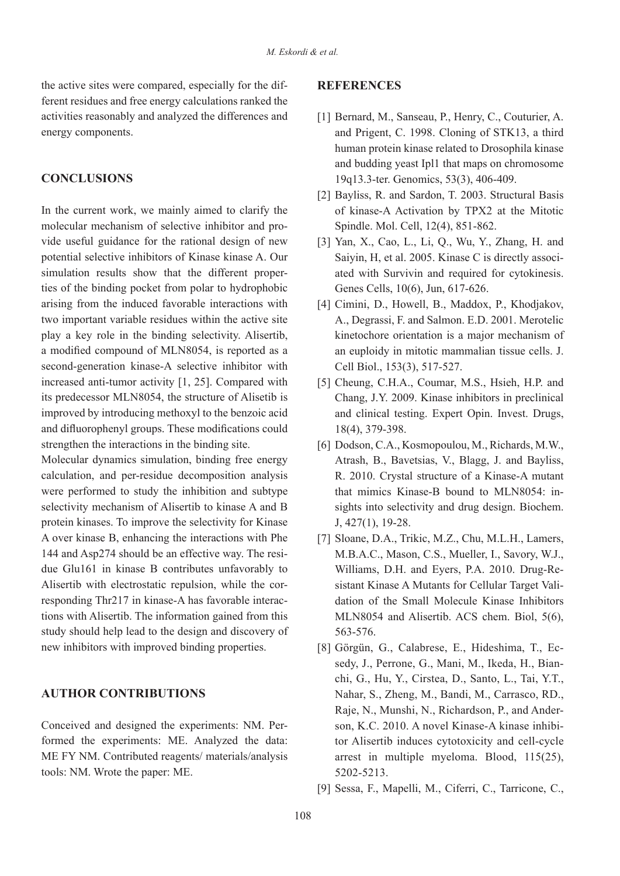ferent residues and free energy calculations ranked the the active sites were compared, especially for the difactivities reasonably and analyzed the differences and energy components.

# **CONCLUSIONS**

In the current work, we mainly aimed to clarify the vide useful guidance for the rational design of new molecular mechanism of selective inhibitor and propotential selective inhibitors of Kinase kinase A. Our ties of the binding pocket from polar to hydrophobic simulation results show that the different properarising from the induced favorable interactions with two important variable residues within the active site play a key role in the binding selectivity. Alisertib, a modified compound of MLN8054, is reported as a second-generation kinase-A selective inhibitor with increased anti-tumor activity  $[1, 25]$ . Compared with its predecessor MLN 8054, the structure of Alisetib is improved by introducing methoxyl to the benzoic acid and difluorophenyl groups. These modifications could strengthen the interactions in the binding site.

Molecular dynamics simulation, binding free energy calculation, and per-residue decomposition analysis were performed to study the inhibition and subtype selectivity mechanism of Alisertib to kinase A and B protein kinases. To improve the selectivity for Kinase A over kinase B, enhancing the interactions with Phe due Glu161 in kinase B contributes unfavorably to 144 and Asp274 should be an effective way. The resitions with Alisertib. The information gained from this responding Thr217 in kinase-A has favorable interac-Alisertib with electrostatic repulsion, while the corstudy should help lead to the design and discovery of new inhibitors with improved binding properties.

# **AUTHOR CONTRIBUTIONS**

formed the experiments: ME. Analyzed the data: Conceived and designed the experiments: NM. Per-ME FY NM. Contributed reagents/ materials/analysis tools: NM. Wrote the paper: ME.

# **REFERENCES**

- [1] Bernard, M., Sanseau, P., Henry, C., Couturier, A. and Prigent, C. 1998. Cloning of STK13, a third human protein kinase related to Drosophila kinase and budding yeast Ipl1 that maps on chromosome 19q13.3-ter. Genomics, 53(3), 406-409.
- [2] Bayliss, R. and Sardon, T. 2003. Structural Basis of kinase-A Activation by TPX2 at the Mitotic Spindle. Mol. Cell, 12(4), 851-862.
- [3] Yan, X., Cao, L., Li, O., Wu, Y., Zhang, H. and ated with Survivin and required for cytokinesis. Saiyin, H, et al. 2005. Kinase C is directly associ-Genes Cells, 10(6), Jun, 617-626.
- [4] Cimini, D., Howell, B., Maddox, P., Khodjakov, A., Degrassi, F. and Salmon. E.D. 2001. Merotelic kinetochore orientation is a major mechanism of an euploidy in mitotic mammalian tissue cells. J. Cell Biol., 153(3), 517-527.
- [5] Cheung, C.H.A., Coumar, M.S., Hsieh, H.P. and Chang, J.Y. 2009. Kinase inhibitors in preclinical and clinical testing. Expert Opin. Invest. Drugs, 18(4), 379-398.
- [6] Dodson, C.A., Kosmopoulou, M., Richards, M.W., Atrash, B., Bavetsias, V., Blagg, J. and Bayliss, R. 2010. Crystal structure of a Kinase-A mutant sights into selectivity and drug design. Biochem. that mimics Kinase-B bound to MLN8054: in- $J, 427(1), 19-28.$
- [7] Sloane, D.A., Trikic, M.Z., Chu, M.L.H., Lamers, M.B.A.C., Mason, C.S., Mueller, I., Savory, W.J., Inhibitors A Mutants for Cellular Target Validation of the Small Molecule Kinase Inhibitors Williams, D.H. and Eyers, P.A. 2010. Drug-Resistant Kinase A Mutants for Cellular Target Vali-Williams, D.H. and Eyers, P.A. 2010. Drug-Re-MLN8054 and Alisertib. ACS chem. Biol, 5(6), 563-576.
- sedy, J., Perrone, G., Mani, M., Ikeda, H., Bianchi, G., Hu, Y., Cirstea, D., Santo, L., Tai, Y.T., [8] Görgün, G., Calabrese, E., Hideshima, T., Ecsedy, J., Perrone, G., Mani, M., Ikeda, H., Bian-Nahar, S., Zheng, M., Bandi, M., Carrasco, RD., tor Alisertib induces cytotoxicity and cell-cycle son, K.C. 2010. A novel Kinase-A kinase inhibi-Raje, N., Munshi, N., Richardson, P., and Anderarrest in multiple myeloma. Blood,  $115(25)$ , 5202-5213.
- [9] Sessa, F., Mapelli, M., Ciferri, C., Tarricone, C.,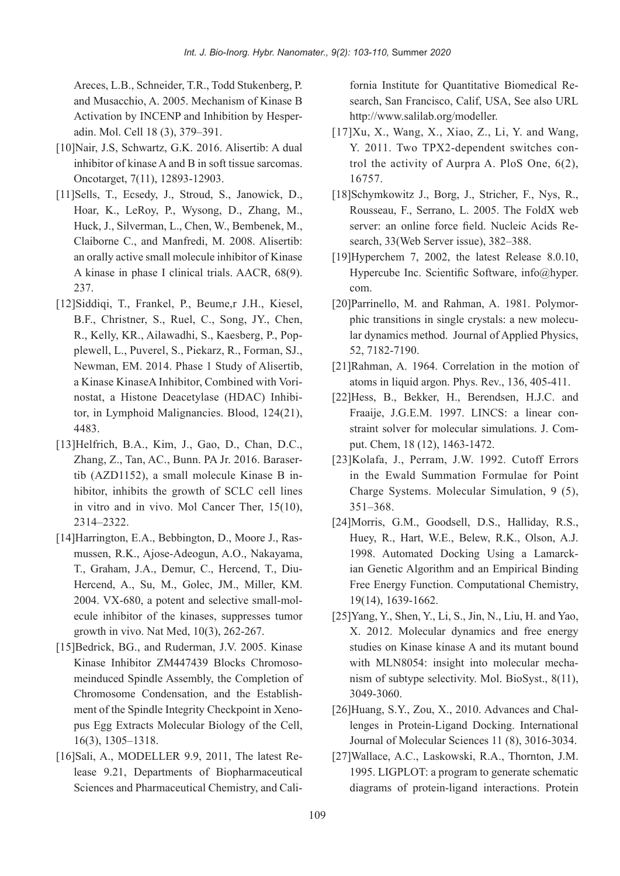Areces, L.B., Schneider, T.R., Todd Stukenberg, P. and Musacchio, A. 2005. Mechanism of Kinase B Activation by INCENP and Inhibition by Hesper-<br>adin. Mol. Cell 18 (3), 379–391.

- [10]Nair, J.S, Schwartz, G.K. 2016. Alisertib: A dual inhibitor of kinase A and B in soft tissue sarcomas. Oncotarget, 7(11), 12893-12903.
- [11] Sells, T., Ecsedy, J., Stroud, S., Janowick, D., Hoar, K., LeRoy, P., Wysong, D., Zhang, M., Huck, J., Silverman, L., Chen, W., Bembenek, M., Claiborne C., and Manfredi, M. 2008. Alisertib: an orally active small molecule inhibitor of Kinase A kinase in phase I clinical trials. AACR, 68(9). 237.
- [12] Siddiqi, T., Frankel, P., Beume .r J.H., Kiesel. B.F., Christner, S., Ruel, C., Song, JY., Chen, plewell, L., Puverel, S., Piekarz, R., Forman, SJ., R., Kelly, KR., Ailawadhi, S., Kaesberg, P., Pop-Newman, EM. 2014. Phase 1 Study of Alisertib, tor, in Lymphoid Malignancies. Blood,  $124(21)$ , nostat, a Histone Deacetylase (HDAC) Inhibia Kinase KinaseA Inhibitor, Combined with Vori-4483.
- $[13]$ Helfrich, B.A., Kim, J., Gao, D., Chan, D.C., hibitor, inhibits the growth of SCLC cell lines tib  $(AZD1152)$ , a small molecule Kinase B in-Zhang, Z., Tan, AC., Bunn. PA Jr. 2016. Baraserin vitro and in vivo. Mol Cancer Ther,  $15(10)$ , 2322.–2314
- mussen, R.K., Ajose-Adeogun, A.O., Nakayama. [14] Harrington, E.A., Bebbington, D., Moore J., Ras-Hercend, A., Su, M., Golec, JM., Miller, KM. T., Graham, J.A., Demur. C., Hercend. T., Diuecule inhibitor of the kinases, suppresses tumor  $2004$ , VX-680, a potent and selective small-molgrowth in vivo. Nat Med,  $10(3)$ ,  $262-267$ .
- [15] Bedrick, BG., and Ruderman, J.V. 2005. Kinase meinduced Spindle Assembly, the Completion of Kinase Inhibitor ZM447439 Blocks Chromosopus Egg Extracts Molecular Biology of the Cell, ment of the Spindle Integrity Checkpoint in Xeno-Chromosome Condensation, and the Establish- $16(3)$ ,  $1305 - 1318$ .
- lease 9.21, Departments of Biopharmaceutical [16]Sali, A., MODELLER 9.9, 2011, The latest Re-Sciences and Pharmaceutical Chemistry, and Cali-

fornia Institute for Quantitative Biomedical Research, San Francisco, Calif, USA, See also URL http://www.salilab.org/modeller.

- $[17]$ Xu, X., Wang, X., Xiao, Z., Li, Y. and Wang, trol the activity of Aurpra A. PloS One,  $6(2)$ , Y. 2011. Two TPX2-dependent switches con-16757.
- [18]Schymkowitz J., Borg, J., Stricher, F., Nys, R., Rousseau, F., Serrano, L. 2005. The FoldX web server: an online force field. Nucleic Acids Research, 33 (Web Server issue), 382–388.
- $[19]$ Hyperchem 7, 2002, the latest Release 8.0.10, Hypercube Inc. Scientific Software,  $info@hyper$ . .com
- lar dynamics method. Journal of Applied Physics, phic transitions in single crystals: a new molecu-[20]Parrinello, M. and Rahman, A. 1981. Polymor-52, 7182-7190.
- [21] Rahman, A. 1964. Correlation in the motion of atoms in liquid argon. Phys. Rev.,  $136, 405-411$ .
- [22] Hess, B., Bekker, H., Berendsen, H.J.C. and straint solver for molecular simulations. J. Comput. Chem, 18 (12), 1463-1472. Fraaije, J.G.E.M. 1997. LINCS: a linear constraint solver for molecular simulations. J. Com-Fraaije, J.G.E.M. 1997. LINCS: a linear con-
- [23] Kolafa, J., Perram, J.W. 1992. Cutoff Errors in the Ewald Summation Formulae for Point Charge Systems. Molecular Simulation, 9 (5), 368.–351
- 23<br>
Search, San Franciesco, Calif, USA, See also URI<br>
25 search, San Franciesco, Calif, USA, See also URI<br>
11/3 x, Xang, X, Xiao, Z, Li, Y, and Wang<br>
16 Y, 2011. Two TPX2-dependent switches conditative for the activity of [24]Morris, G.M., Goodsell, D.S., Halliday, R.S., Huey, R., Hart, W.E., Belew, R.K., Olson, A.J. ian Genetic Algorithm and an Empirical Binding 1998. Automated Docking Using a Lamarck-Free Energy Function. Computational Chemistry, 19(14), 1639-1662.
	- $[25]$ Yang, Y., Shen, Y., Li, S., Jin, N., Liu, H. and Yao, X. 2012. Molecular dynamics and free energy studies on Kinase kinase A and its mutant bound nism of subtype selectivity. Mol. BioSyst.,  $8(11)$ . with MLN8054: insight into molecular mecha-3049-3060.
	- lenges in Protein-Ligand Docking. International [ $26$ ]Huang, S.Y., Zou, X.,  $2010$ . Advances and Chal-Journal of Molecular Sciences 11 (8), 3016-3034.
	- [27] Wallace, A.C., Laskowski, R.A., Thornton, J.M. 1995. LIGPLOT: a program to generate schematic diagrams of protein-ligand interactions. Protein